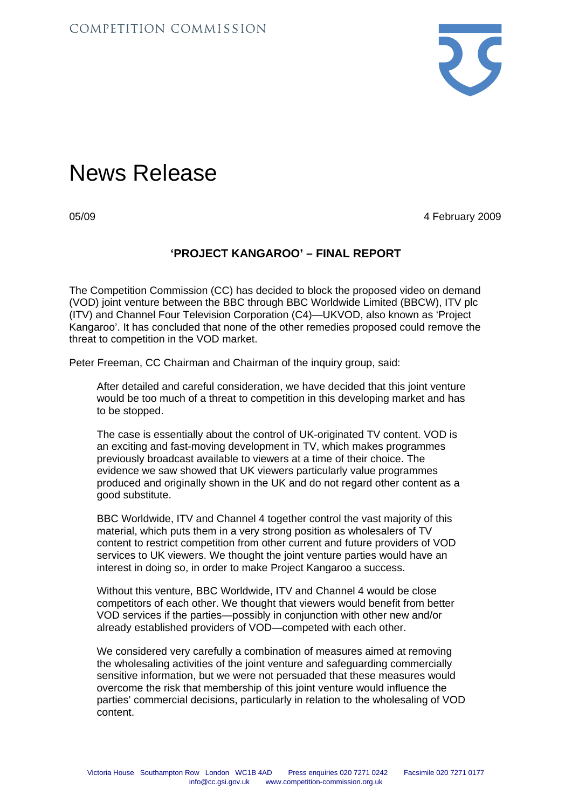

## News Release

05/09 4 February 2009

## **'PROJECT KANGAROO' – FINAL REPORT**

The Competition Commission (CC) has decided to block the proposed video on demand (VOD) joint venture between the BBC through BBC Worldwide Limited (BBCW), ITV plc (ITV) and Channel Four Television Corporation (C4)—UKVOD, also known as 'Project Kangaroo'. It has concluded that none of the other remedies proposed could remove the threat to competition in the VOD market.

Peter Freeman, CC Chairman and Chairman of the inquiry group, said:

After detailed and careful consideration, we have decided that this joint venture would be too much of a threat to competition in this developing market and has to be stopped.

The case is essentially about the control of UK-originated TV content. VOD is an exciting and fast-moving development in TV, which makes programmes previously broadcast available to viewers at a time of their choice. The evidence we saw showed that UK viewers particularly value programmes produced and originally shown in the UK and do not regard other content as a good substitute.

BBC Worldwide, ITV and Channel 4 together control the vast majority of this material, which puts them in a very strong position as wholesalers of TV content to restrict competition from other current and future providers of VOD services to UK viewers. We thought the joint venture parties would have an interest in doing so, in order to make Project Kangaroo a success.

Without this venture, BBC Worldwide, ITV and Channel 4 would be close competitors of each other. We thought that viewers would benefit from better VOD services if the parties—possibly in conjunction with other new and/or already established providers of VOD—competed with each other.

We considered very carefully a combination of measures aimed at removing the wholesaling activities of the joint venture and safeguarding commercially sensitive information, but we were not persuaded that these measures would overcome the risk that membership of this joint venture would influence the parties' commercial decisions, particularly in relation to the wholesaling of VOD content.